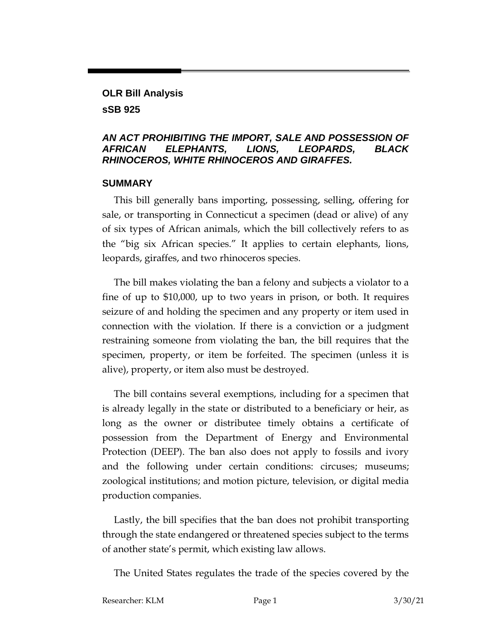## **OLR Bill Analysis sSB 925**

#### *AN ACT PROHIBITING THE IMPORT, SALE AND POSSESSION OF AFRICAN ELEPHANTS, LIONS, LEOPARDS, BLACK RHINOCEROS, WHITE RHINOCEROS AND GIRAFFES.*

#### **SUMMARY**

This bill generally bans importing, possessing, selling, offering for sale, or transporting in Connecticut a specimen (dead or alive) of any of six types of African animals, which the bill collectively refers to as the "big six African species." It applies to certain elephants, lions, leopards, giraffes, and two rhinoceros species.

The bill makes violating the ban a felony and subjects a violator to a fine of up to \$10,000, up to two years in prison, or both. It requires seizure of and holding the specimen and any property or item used in connection with the violation. If there is a conviction or a judgment restraining someone from violating the ban, the bill requires that the specimen, property, or item be forfeited. The specimen (unless it is alive), property, or item also must be destroyed.

The bill contains several exemptions, including for a specimen that is already legally in the state or distributed to a beneficiary or heir, as long as the owner or distributee timely obtains a certificate of possession from the Department of Energy and Environmental Protection (DEEP). The ban also does not apply to fossils and ivory and the following under certain conditions: circuses; museums; zoological institutions; and motion picture, television, or digital media production companies.

Lastly, the bill specifies that the ban does not prohibit transporting through the state endangered or threatened species subject to the terms of another state's permit, which existing law allows.

The United States regulates the trade of the species covered by the

Researcher: KLM Page 1 3/30/21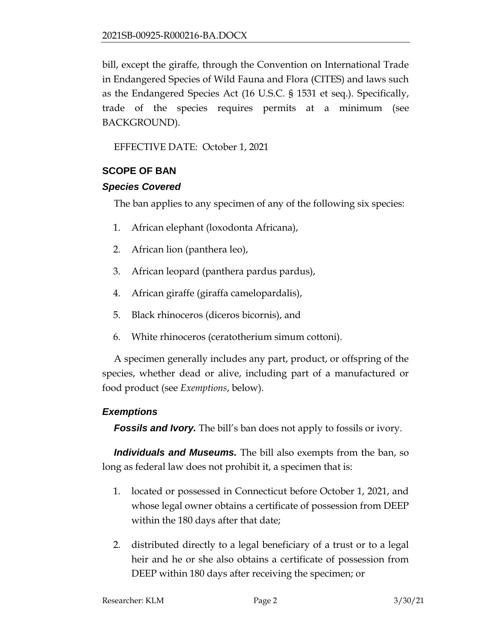bill, except the giraffe, through the Convention on International Trade in Endangered Species of Wild Fauna and Flora (CITES) and laws such as the Endangered Species Act (16 U.S.C. § 1531 et seq.). Specifically, trade of the species requires permits at a minimum (see BACKGROUND).

EFFECTIVE DATE: October 1, 2021

### **SCOPE OF BAN**

### *Species Covered*

The ban applies to any specimen of any of the following six species:

- 1. African elephant (loxodonta Africana),
- 2. African lion (panthera leo),
- 3. African leopard (panthera pardus pardus),
- 4. African giraffe (giraffa camelopardalis),
- 5. Black rhinoceros (diceros bicornis), and
- 6. White rhinoceros (ceratotherium simum cottoni).

A specimen generally includes any part, product, or offspring of the species, whether dead or alive, including part of a manufactured or food product (see *Exemptions*, below).

### *Exemptions*

*Fossils and Ivory.* The bill's ban does not apply to fossils or ivory.

*Individuals and Museums.* The bill also exempts from the ban, so long as federal law does not prohibit it, a specimen that is:

- 1. located or possessed in Connecticut before October 1, 2021, and whose legal owner obtains a certificate of possession from DEEP within the 180 days after that date;
- 2. distributed directly to a legal beneficiary of a trust or to a legal heir and he or she also obtains a certificate of possession from DEEP within 180 days after receiving the specimen; or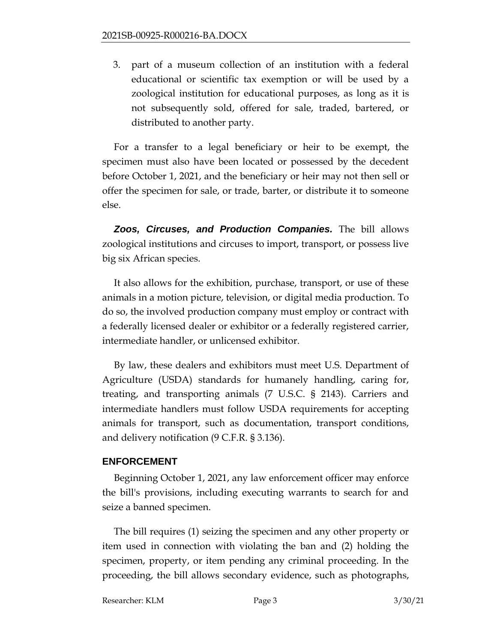3. part of a museum collection of an institution with a federal educational or scientific tax exemption or will be used by a zoological institution for educational purposes, as long as it is not subsequently sold, offered for sale, traded, bartered, or distributed to another party.

For a transfer to a legal beneficiary or heir to be exempt, the specimen must also have been located or possessed by the decedent before October 1, 2021, and the beneficiary or heir may not then sell or offer the specimen for sale, or trade, barter, or distribute it to someone else.

*Zoos, Circuses, and Production Companies.* The bill allows zoological institutions and circuses to import, transport, or possess live big six African species.

It also allows for the exhibition, purchase, transport, or use of these animals in a motion picture, television, or digital media production. To do so, the involved production company must employ or contract with a federally licensed dealer or exhibitor or a federally registered carrier, intermediate handler, or unlicensed exhibitor.

By law, these dealers and exhibitors must meet U.S. Department of Agriculture (USDA) standards for humanely handling, caring for, treating, and transporting animals (7 U.S.C. § 2143). Carriers and intermediate handlers must follow USDA requirements for accepting animals for transport, such as documentation, transport conditions, and delivery notification (9 C.F.R. § 3.136).

### **ENFORCEMENT**

Beginning October 1, 2021, any law enforcement officer may enforce the bill's provisions, including executing warrants to search for and seize a banned specimen.

The bill requires (1) seizing the specimen and any other property or item used in connection with violating the ban and (2) holding the specimen, property, or item pending any criminal proceeding. In the proceeding, the bill allows secondary evidence, such as photographs,